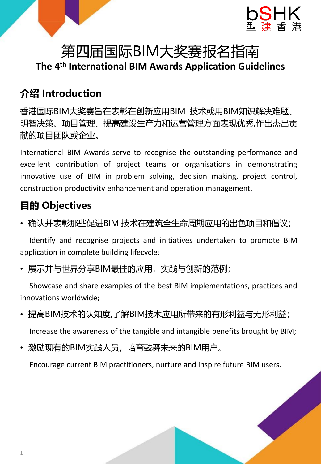

## **The 4 th International BIM Awards Application Guidelines**

### **介绍 Introduction**

香港国际BIM大奖赛旨在表彰在创新应用BIM 技术或用BIM知识解决难题、 明智决策、项目管理、提高建设生产力和运营管理方面表现优秀,作出杰出贡 献的项目团队或企业。

International BIM Awards serve to recognise the outstanding performance and excellent contribution of project teams or organisations in demonstrating innovative use of BIM in problem solving, decision making, project control, construction productivity enhancement and operation management.

### **目的 Objectives**

• 确认并表彰那些促进BIM 技术在建筑全生命周期应用的出色项目和倡议;

Identify and recognise projects and initiatives undertaken to promote BIM application in complete building lifecycle;

• 展示并与世界分享BIM最佳的应用,实践与创新的范例;

Showcase and share examples of the best BIM implementations, practices and innovations worldwide;

- 提高BIM技术的认知度,了解BIM技术应用所带来的有形利益与无形利益; Increase the awareness of the tangible and intangible benefits brought by BIM;
- 激励现有的BIM实践人员,培育鼓舞未来的BIM用户。

Encourage current BIM practitioners, nurture and inspire future BIM users.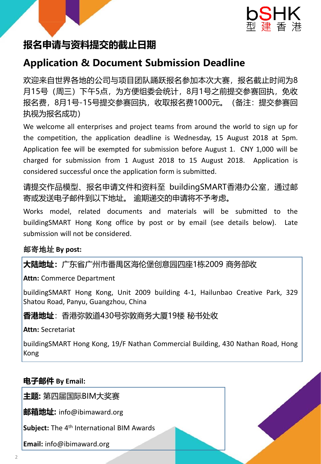



# **报名申请与资料提交的截止日期**

### **Application & Document Submission Deadline**

欢迎来自世界各地的公司与项目团队踊跃报名参加本次大赛,报名截止时间为8 月15号(周三)下午5点,为方便组委会统计,8月1号之前提交参赛回执,免收 报名费,8月1号-15号提交参赛回执,收取报名费1000元。(备注:提交参赛回 执视为报名成功)

We welcome all enterprises and project teams from around the world to sign up for the competition, the application deadline is Wednesday, 15 August 2018 at 5pm. Application fee will be exempted for submission before August 1. CNY 1,000 will be charged for submission from 1 August 2018 to 15 August 2018. Application is considered successful once the application form is submitted.

请提交作品模型、报名申请文件和资料至 buildingSMART香港办公室,通过邮 寄或发送电子邮件到以下地址。 逾期递交的申请将不予考虑。

Works model, related documents and materials will be submitted to the buildingSMART Hong Kong office by post or by email (see details below). Late submission will not be considered.

#### 邮寄地址 **By post:**

**大陆地址:**广东省广州市番禺区海伦堡创意园四座1栋2009 商务部收

**Attn:** Commerce Department

buildingSMART Hong Kong, Unit 2009 building 4-1, Hailunbao Creative Park, 329 Shatou Road, Panyu, Guangzhou, China

#### **香港地址**:香港弥敦道430号弥敦商务大厦19楼 秘书处收

**Attn:** Secretariat

buildingSMART Hong Kong, 19/F Nathan Commercial Building, 430 Nathan Road, Hong Kong

#### **电子邮件 By Email:**

**主题:** 第四届国际BIM大奖赛

**邮箱地址:** info@ibimaward.org

Subject: The 4<sup>th</sup> International BIM Awards

**Email:** info@ibimaward.org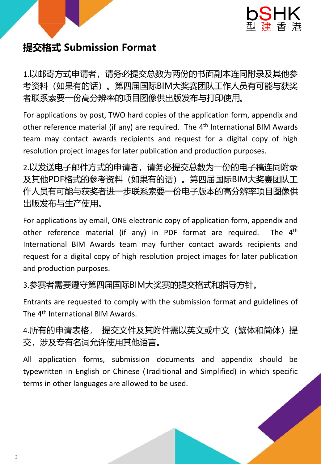

### **提交格式 Submission Format**

1.以邮寄方式申请者,请务必提交总数为两份的书面副本连同附录及其他参 考资料(如果有的话)。第四届国际BIM大奖赛团队工作人员有可能与获奖 者联系索要一份高分辨率的项目图像供出版发布与打印使用。

For applications by post, TWO hard copies of the application form, appendix and other reference material (if any) are required. The 4<sup>th</sup> International BIM Awards team may contact awards recipients and request for a digital copy of high resolution project images for later publication and production purposes.

2.以发送电子邮件方式的申请者, 请务必提交总数为一份的电子稿连同附录 及其他PDF格式的参考资料(如果有的话)。第四届国际BIM大奖赛团队工 作人员有可能与获奖者进一步联系索要一份电子版本的高分辨率项目图像供 出版发布与生产使用。

For applications by email, ONE electronic copy of application form, appendix and other reference material (if any) in PDF format are required. The  $4<sup>th</sup>$ International BIM Awards team may further contact awards recipients and request for a digital copy of high resolution project images for later publication and production purposes.

3.参赛者需要遵守第四届国际BIM大奖赛的提交格式和指导方针。

Entrants are requested to comply with the submission format and guidelines of The 4<sup>th</sup> International BIM Awards.

4.所有的申请表格, 提交文件及其附件需以英文或中文(繁体和简体)提 交,涉及专有名词允许使用其他语言。

All application forms, submission documents and appendix should be typewritten in English or Chinese (Traditional and Simplified) in which specific terms in other languages are allowed to be used.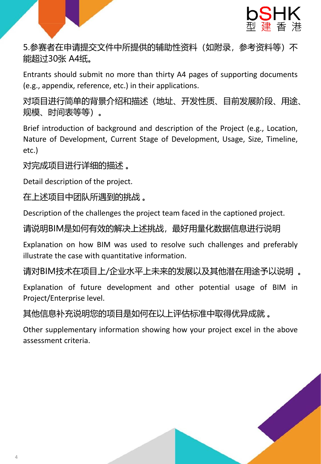

5.参赛者在申请提交文件中所提供的辅助性资料(如附录,参考资料等)不 能超过30张 A4纸。

Entrants should submit no more than thirty A4 pages of supporting documents (e.g., appendix, reference, etc.) in their applications.

对项目进行简单的背景介绍和描述(地址、开发性质、目前发展阶段、用途、 规模、时间表等等)。

Brief introduction of background and description of the Project (e.g., Location, Nature of Development, Current Stage of Development, Usage, Size, Timeline, etc.)

对完成项目进行详细的描述 。

Detail description of the project.

在上述项目中团队所遇到的挑战 。

Description of the challenges the project team faced in the captioned project.

请说明BIM是如何有效的解决上述挑战, 最好用量化数据信息进行说明

Explanation on how BIM was used to resolve such challenges and preferably illustrate the case with quantitative information.

请对BIM技术在项目上/企业水平上未来的发展以及其他潜在用途予以说明 。

Explanation of future development and other potential usage of BIM in Project/Enterprise level.

其他信息补充说明您的项目是如何在以上评估标准中取得优异成就 。

Other supplementary information showing how your project excel in the above assessment criteria.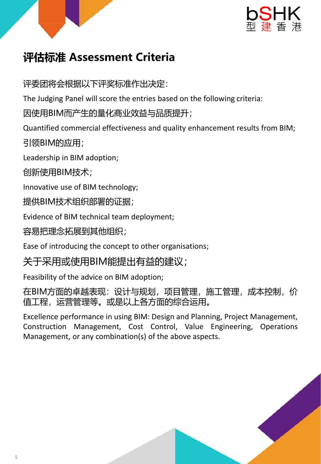



## **评估标准 Assessment Criteria**

评委团将会根据以下评奖标准作出决定:

The Judging Panel will score the entries based on the following criteria:

因使用BIM而产生的量化商业效益与品质提升;

Quantified commercial effectiveness and quality enhancement results from BIM;

引领BIM的应用;

Leadership in BIM adoption;

创新使用BIM技术;

Innovative use of BIM technology;

提供BIM技术组织部署的证据;

Evidence of BIM technical team deployment;

容易把理念拓展到其他组织;

Ease of introducing the concept to other organisations;

### 关于采用或使用BIM能提出有益的建议;

Feasibility of the advice on BIM adoption;

在BIM方面的卓越表现:设计与规划,项目管理,施工管理,成本控制,价 值工程,运营管理等。或是以上各方面的综合运用。

Excellence performance in using BIM: Design and Planning, Project Management, Construction Management, Cost Control, Value Engineering, Operations Management, or any combination(s) of the above aspects.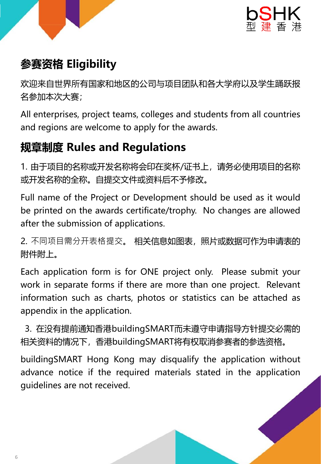



### **参赛资格 Eligibility**

欢迎来自世界所有国家和地区的公司与项目团队和各大学府以及学生踊跃报 名参加本次大赛;

All enterprises, project teams, colleges and students from all countries and regions are welcome to apply for the awards.

## **规章制度 Rules and Regulations**

1. 由于项目的名称或开发名称将会印在奖杯/证书上,请务必使用项目的名称 或开发名称的全称。自提交文件或资料后不予修改。

Full name of the Project or Development should be used as it would be printed on the awards certificate/trophy. No changes are allowed after the submission of applications.

2. 不同项目需分开表格提交。相关信息如图表, 照片或数据可作为申请表的 附件附上。

Each application form is for ONE project only. Please submit your work in separate forms if there are more than one project. Relevant information such as charts, photos or statistics can be attached as appendix in the application.

3. 在没有提前通知香港buildingSMART而未遵守申请指导方针提交必需的 相关资料的情况下,香港buildingSMART将有权取消参赛者的参选资格。

buildingSMART Hong Kong may disqualify the application without advance notice if the required materials stated in the application guidelines are not received.